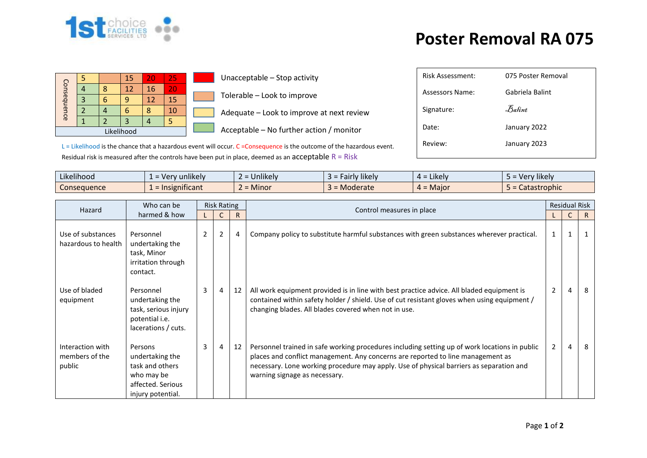

## **Poster Removal RA 075**

|             |  |   | 15 | 20 | 25 |  |  |
|-------------|--|---|----|----|----|--|--|
| Consequence |  | g | 12 | 16 | 20 |  |  |
|             |  |   |    | 12 | 15 |  |  |
|             |  |   |    | Я  | 10 |  |  |
|             |  |   |    |    |    |  |  |
| Likelihood  |  |   |    |    |    |  |  |

Unacceptable – Stop activity

Tolerable – Look to improve

Adequate – Look to improve at next review

 $\Box$  Acceptable – No further action / monitor

Risk Assessment: 075 Poster Removal Assessors Name: Gabriela Balint Signature:  $\bar{\mathcal{B}}$ alint Date: January 2022

L = Likelihood is the chance that a hazardous event will occur. C = Consequence is the outcome of the hazardous event. Residual risk is measured after the controls have been put in place, deemed as an acceptable  $R = R$ isk

| $\cdots$<br>$-1.1$<br>Likelihood | $\blacksquare$<br>unlikely<br>$-ve^r$<br>$\overline{\phantom{0}}$ | $\cdots$<br><b>Jnlikely</b> | airly likely<br>-- | .<br>: Likely<br><del>…</del> - | $\cdots$<br>Very likely |
|----------------------------------|-------------------------------------------------------------------|-----------------------------|--------------------|---------------------------------|-------------------------|
| Consequence                      | nsignificant<br>$=$ Ir                                            | <b>Minor</b>                | Moderate           | $4 =$ Major                     | Catastrophic            |

| Hazard                                       | Who can be                                                                                            | <b>Risk Rating</b> |                |    |                                                                                                                                                                                                                                                                                                              |                | <b>Residual Risk</b> |    |  |
|----------------------------------------------|-------------------------------------------------------------------------------------------------------|--------------------|----------------|----|--------------------------------------------------------------------------------------------------------------------------------------------------------------------------------------------------------------------------------------------------------------------------------------------------------------|----------------|----------------------|----|--|
|                                              | harmed & how                                                                                          |                    |                | R  | Control measures in place                                                                                                                                                                                                                                                                                    |                |                      | R  |  |
| Use of substances<br>hazardous to health     | Personnel<br>undertaking the<br>task, Minor<br>irritation through<br>contact.                         | $\overline{2}$     | 2              | 4  | Company policy to substitute harmful substances with green substances wherever practical.                                                                                                                                                                                                                    | 1              | 1                    |    |  |
| Use of bladed<br>equipment                   | Personnel<br>undertaking the<br>task, serious injury<br>potential i.e.<br>lacerations / cuts.         | $\overline{3}$     | $\overline{4}$ | 12 | All work equipment provided is in line with best practice advice. All bladed equipment is<br>contained within safety holder / shield. Use of cut resistant gloves when using equipment /<br>changing blades. All blades covered when not in use.                                                             | $\overline{2}$ | 4                    | -8 |  |
| Interaction with<br>members of the<br>public | Persons<br>undertaking the<br>task and others<br>who may be<br>affected. Serious<br>injury potential. | 3                  | 4              | 12 | Personnel trained in safe working procedures including setting up of work locations in public<br>places and conflict management. Any concerns are reported to line management as<br>necessary. Lone working procedure may apply. Use of physical barriers as separation and<br>warning signage as necessary. | $\overline{2}$ | 4                    | -8 |  |